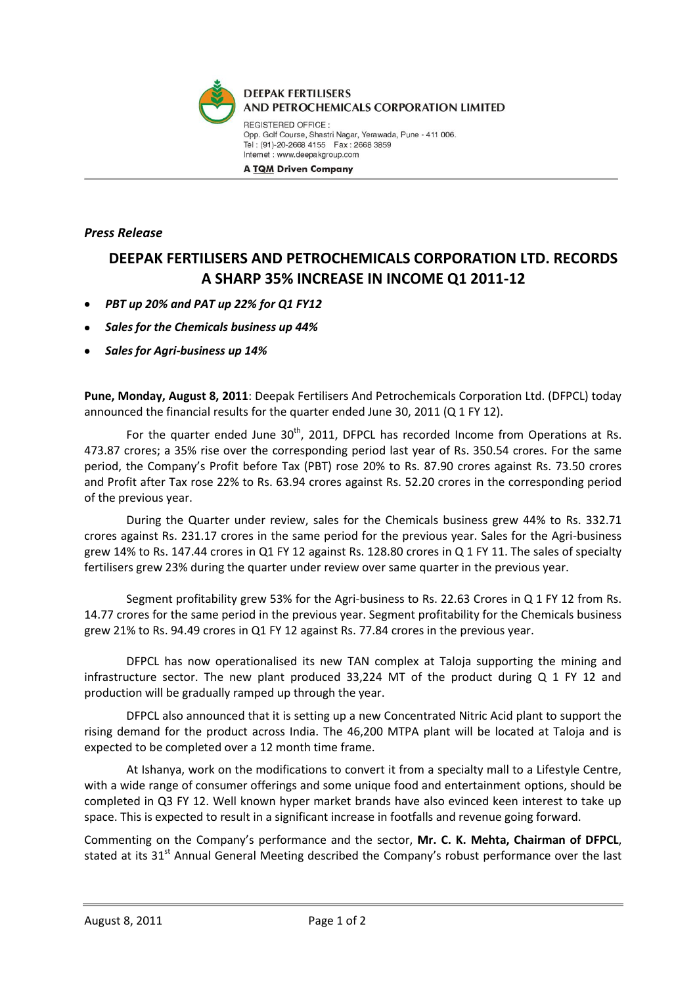

*Press Release*

## **DEEPAK FERTILISERS AND PETROCHEMICALS CORPORATION LTD. RECORDS A SHARP 35% INCREASE IN INCOME Q1 2011-12**

- *PBT up 20% and PAT up 22% for Q1 FY12*
- *Sales for the Chemicals business up 44%*
- *Sales for Agri-business up 14%*

**Pune, Monday, August 8, 2011**: Deepak Fertilisers And Petrochemicals Corporation Ltd. (DFPCL) today announced the financial results for the quarter ended June 30, 2011 (Q 1 FY 12).

For the quarter ended June  $30<sup>th</sup>$ , 2011, DFPCL has recorded Income from Operations at Rs. 473.87 crores; a 35% rise over the corresponding period last year of Rs. 350.54 crores. For the same period, the Company's Profit before Tax (PBT) rose 20% to Rs. 87.90 crores against Rs. 73.50 crores and Profit after Tax rose 22% to Rs. 63.94 crores against Rs. 52.20 crores in the corresponding period of the previous year.

During the Quarter under review, sales for the Chemicals business grew 44% to Rs. 332.71 crores against Rs. 231.17 crores in the same period for the previous year. Sales for the Agri-business grew 14% to Rs. 147.44 crores in Q1 FY 12 against Rs. 128.80 crores in Q 1 FY 11. The sales of specialty fertilisers grew 23% during the quarter under review over same quarter in the previous year.

Segment profitability grew 53% for the Agri-business to Rs. 22.63 Crores in Q 1 FY 12 from Rs. 14.77 crores for the same period in the previous year. Segment profitability for the Chemicals business grew 21% to Rs. 94.49 crores in Q1 FY 12 against Rs. 77.84 crores in the previous year.

DFPCL has now operationalised its new TAN complex at Taloja supporting the mining and infrastructure sector. The new plant produced 33,224 MT of the product during Q 1 FY 12 and production will be gradually ramped up through the year.

DFPCL also announced that it is setting up a new Concentrated Nitric Acid plant to support the rising demand for the product across India. The 46,200 MTPA plant will be located at Taloja and is expected to be completed over a 12 month time frame.

At Ishanya, work on the modifications to convert it from a specialty mall to a Lifestyle Centre, with a wide range of consumer offerings and some unique food and entertainment options, should be completed in Q3 FY 12. Well known hyper market brands have also evinced keen interest to take up space. This is expected to result in a significant increase in footfalls and revenue going forward.

Commenting on the Company's performance and the sector, **Mr. C. K. Mehta, Chairman of DFPCL**, stated at its 31<sup>st</sup> Annual General Meeting described the Company's robust performance over the last